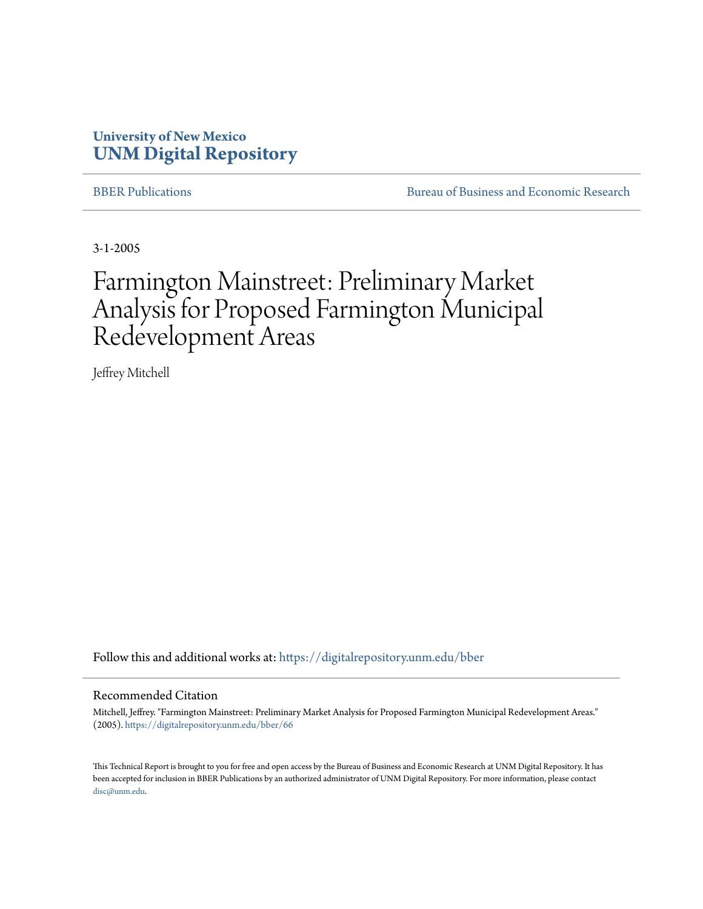## **University of New Mexico [UNM Digital Repository](https://digitalrepository.unm.edu?utm_source=digitalrepository.unm.edu%2Fbber%2F66&utm_medium=PDF&utm_campaign=PDFCoverPages)**

[BBER Publications](https://digitalrepository.unm.edu/bber?utm_source=digitalrepository.unm.edu%2Fbber%2F66&utm_medium=PDF&utm_campaign=PDFCoverPages) **BUREAU SERVICES** [Bureau of Business and Economic Research](https://digitalrepository.unm.edu/business_economic_research?utm_source=digitalrepository.unm.edu%2Fbber%2F66&utm_medium=PDF&utm_campaign=PDFCoverPages)

3-1-2005

## Farmington Mainstreet: Preliminary Market Analysis for Proposed Farmington Municipal Redevelopment Areas

Jeffrey Mitchell

Follow this and additional works at: [https://digitalrepository.unm.edu/bber](https://digitalrepository.unm.edu/bber?utm_source=digitalrepository.unm.edu%2Fbber%2F66&utm_medium=PDF&utm_campaign=PDFCoverPages)

#### Recommended Citation

Mitchell, Jeffrey. "Farmington Mainstreet: Preliminary Market Analysis for Proposed Farmington Municipal Redevelopment Areas." (2005). [https://digitalrepository.unm.edu/bber/66](https://digitalrepository.unm.edu/bber/66?utm_source=digitalrepository.unm.edu%2Fbber%2F66&utm_medium=PDF&utm_campaign=PDFCoverPages)

This Technical Report is brought to you for free and open access by the Bureau of Business and Economic Research at UNM Digital Repository. It has been accepted for inclusion in BBER Publications by an authorized administrator of UNM Digital Repository. For more information, please contact [disc@unm.edu](mailto:disc@unm.edu).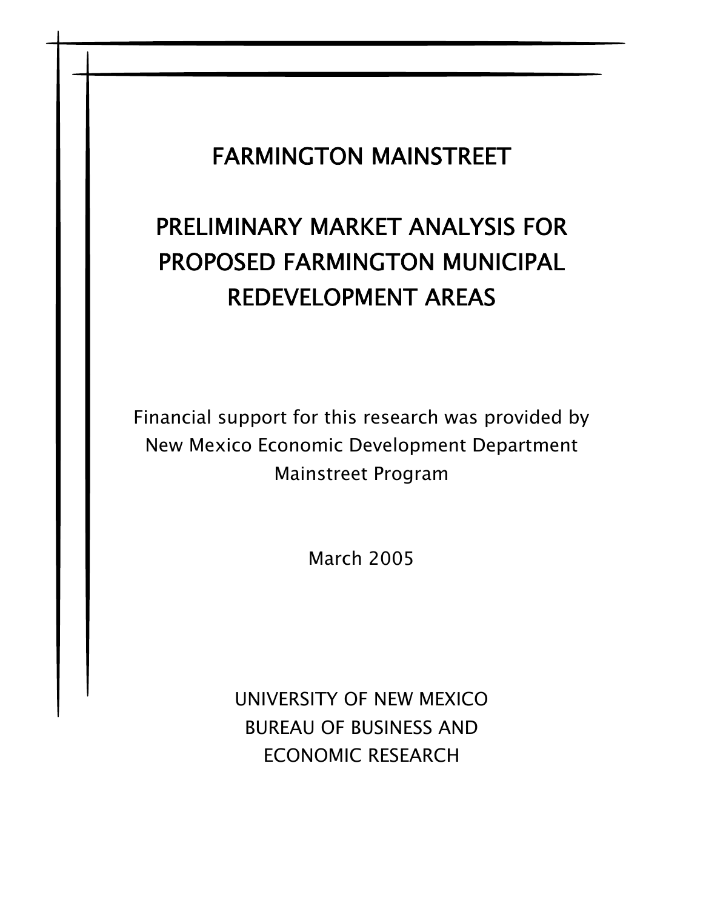## FARMINGTON MAINSTREET

# PRELIMINARY MARKET ANALYSIS FOR PROPOSED FARMINGTON MUNICIPAL REDEVELOPMENT AREAS

Financial support for this research was provided by New Mexico Economic Development Department Mainstreet Program

March 2005

UNIVERSITY OF NEW MEXICO BUREAU OF BUSINESS AND ECONOMIC RESEARCH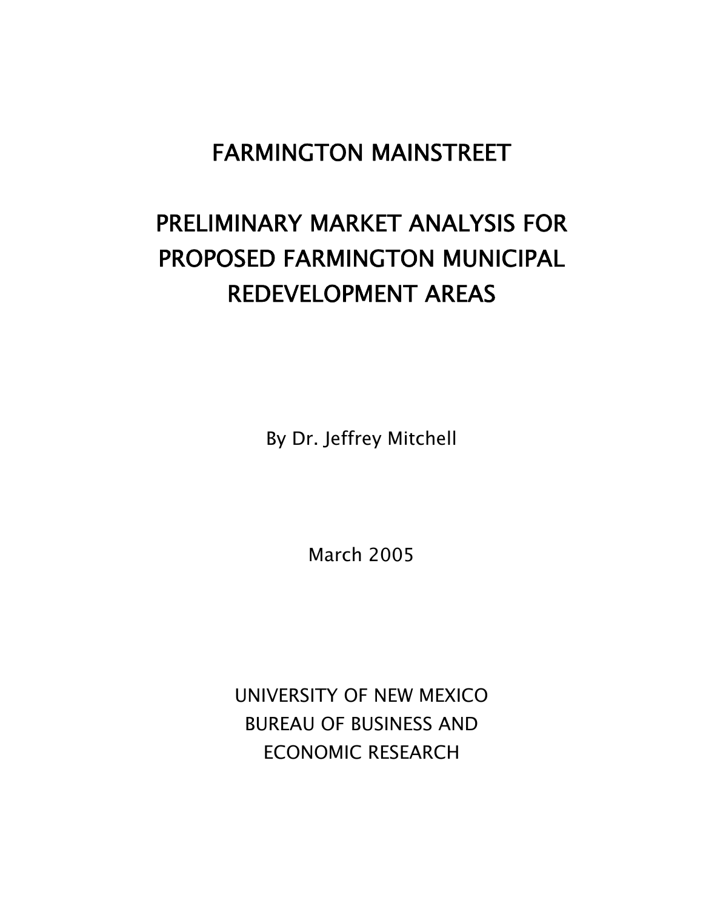## FARMINGTON MAINSTREET

## PRELIMINARY MARKET ANALYSIS FOR PROPOSED FARMINGTON MUNICIPAL REDEVELOPMENT AREAS

By Dr. Jeffrey Mitchell

March 2005

UNIVERSITY OF NEW MEXICO BUREAU OF BUSINESS AND ECONOMIC RESEARCH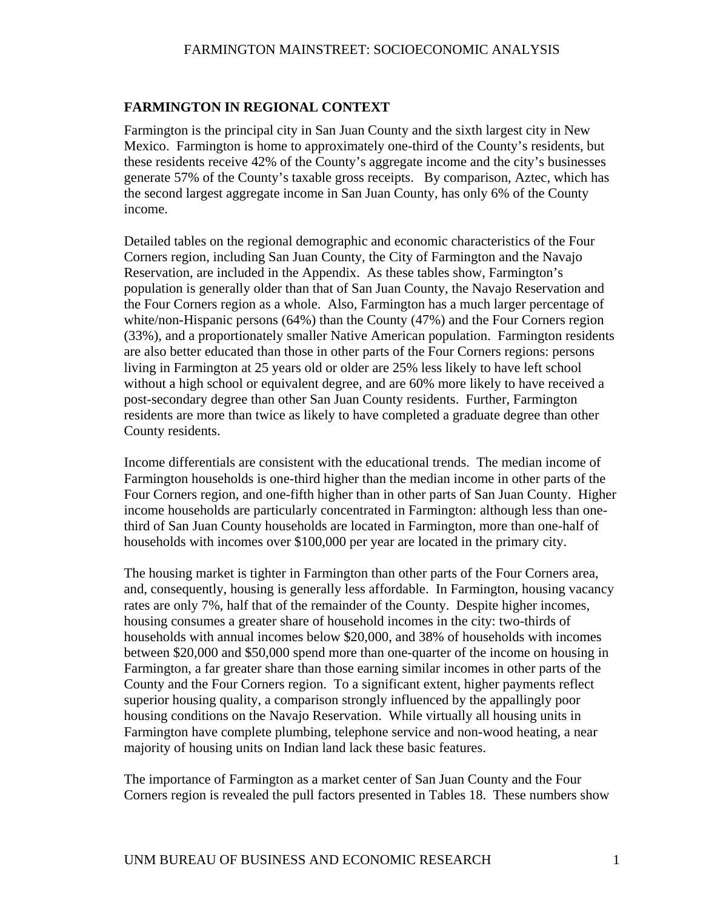## **FARMINGTON IN REGIONAL CONTEXT**

Farmington is the principal city in San Juan County and the sixth largest city in New Mexico. Farmington is home to approximately one-third of the County's residents, but these residents receive 42% of the County's aggregate income and the city's businesses generate 57% of the County's taxable gross receipts. By comparison, Aztec, which has the second largest aggregate income in San Juan County, has only 6% of the County income.

Detailed tables on the regional demographic and economic characteristics of the Four Corners region, including San Juan County, the City of Farmington and the Navajo Reservation, are included in the Appendix. As these tables show, Farmington's population is generally older than that of San Juan County, the Navajo Reservation and the Four Corners region as a whole. Also, Farmington has a much larger percentage of white/non-Hispanic persons (64%) than the County (47%) and the Four Corners region (33%), and a proportionately smaller Native American population. Farmington residents are also better educated than those in other parts of the Four Corners regions: persons living in Farmington at 25 years old or older are 25% less likely to have left school without a high school or equivalent degree, and are 60% more likely to have received a post-secondary degree than other San Juan County residents. Further, Farmington residents are more than twice as likely to have completed a graduate degree than other County residents.

Income differentials are consistent with the educational trends. The median income of Farmington households is one-third higher than the median income in other parts of the Four Corners region, and one-fifth higher than in other parts of San Juan County. Higher income households are particularly concentrated in Farmington: although less than onethird of San Juan County households are located in Farmington, more than one-half of households with incomes over \$100,000 per year are located in the primary city.

The housing market is tighter in Farmington than other parts of the Four Corners area, and, consequently, housing is generally less affordable. In Farmington, housing vacancy rates are only 7%, half that of the remainder of the County. Despite higher incomes, housing consumes a greater share of household incomes in the city: two-thirds of households with annual incomes below \$20,000, and 38% of households with incomes between \$20,000 and \$50,000 spend more than one-quarter of the income on housing in Farmington, a far greater share than those earning similar incomes in other parts of the County and the Four Corners region. To a significant extent, higher payments reflect superior housing quality, a comparison strongly influenced by the appallingly poor housing conditions on the Navajo Reservation. While virtually all housing units in Farmington have complete plumbing, telephone service and non-wood heating, a near majority of housing units on Indian land lack these basic features.

The importance of Farmington as a market center of San Juan County and the Four Corners region is revealed the pull factors presented in Tables 18. These numbers show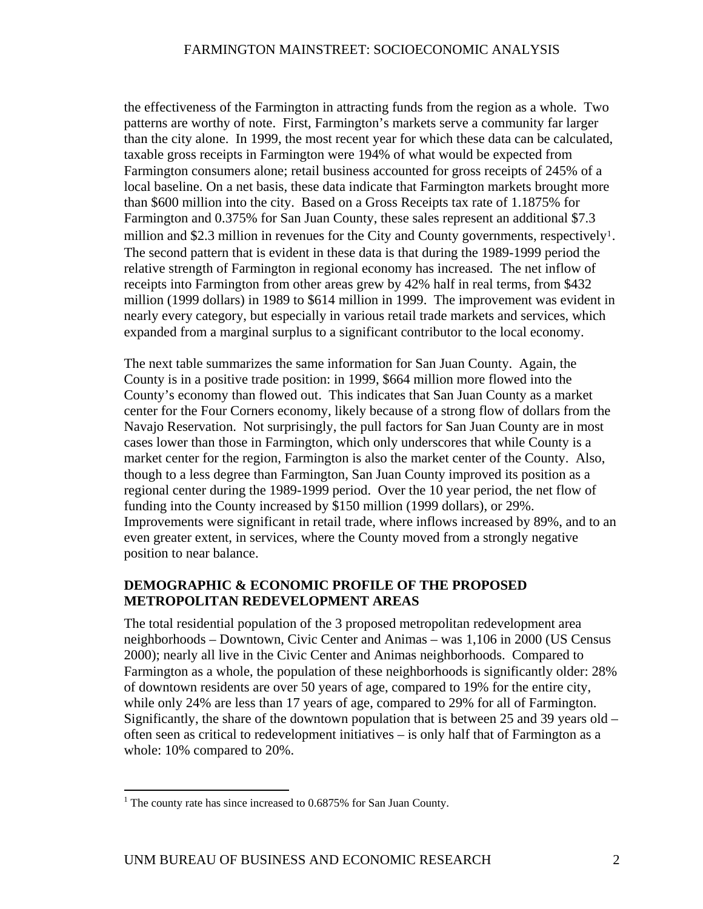the effectiveness of the Farmington in attracting funds from the region as a whole. Two patterns are worthy of note. First, Farmington's markets serve a community far larger than the city alone. In 1999, the most recent year for which these data can be calculated, taxable gross receipts in Farmington were 194% of what would be expected from Farmington consumers alone; retail business accounted for gross receipts of 245% of a local baseline. On a net basis, these data indicate that Farmington markets brought more than \$600 million into the city. Based on a Gross Receipts tax rate of 1.1875% for Farmington and 0.375% for San Juan County, these sales represent an additional \$7.3 million and \$2.3 million in revenues for the City and County governments, respectively<sup>[1](#page-4-0)</sup>. The second pattern that is evident in these data is that during the 1989-1999 period the relative strength of Farmington in regional economy has increased. The net inflow of receipts into Farmington from other areas grew by 42% half in real terms, from \$432 million (1999 dollars) in 1989 to \$614 million in 1999. The improvement was evident in nearly every category, but especially in various retail trade markets and services, which expanded from a marginal surplus to a significant contributor to the local economy.

The next table summarizes the same information for San Juan County. Again, the County is in a positive trade position: in 1999, \$664 million more flowed into the County's economy than flowed out. This indicates that San Juan County as a market center for the Four Corners economy, likely because of a strong flow of dollars from the Navajo Reservation. Not surprisingly, the pull factors for San Juan County are in most cases lower than those in Farmington, which only underscores that while County is a market center for the region, Farmington is also the market center of the County. Also, though to a less degree than Farmington, San Juan County improved its position as a regional center during the 1989-1999 period. Over the 10 year period, the net flow of funding into the County increased by \$150 million (1999 dollars), or 29%. Improvements were significant in retail trade, where inflows increased by 89%, and to an even greater extent, in services, where the County moved from a strongly negative position to near balance.

## **DEMOGRAPHIC & ECONOMIC PROFILE OF THE PROPOSED METROPOLITAN REDEVELOPMENT AREAS**

The total residential population of the 3 proposed metropolitan redevelopment area neighborhoods – Downtown, Civic Center and Animas – was 1,106 in 2000 (US Census 2000); nearly all live in the Civic Center and Animas neighborhoods. Compared to Farmington as a whole, the population of these neighborhoods is significantly older: 28% of downtown residents are over 50 years of age, compared to 19% for the entire city, while only 24% are less than 17 years of age, compared to 29% for all of Farmington. Significantly, the share of the downtown population that is between 25 and 39 years old – often seen as critical to redevelopment initiatives – is only half that of Farmington as a whole: 10% compared to 20%.

<span id="page-4-0"></span> 1 The county rate has since increased to 0.6875% for San Juan County.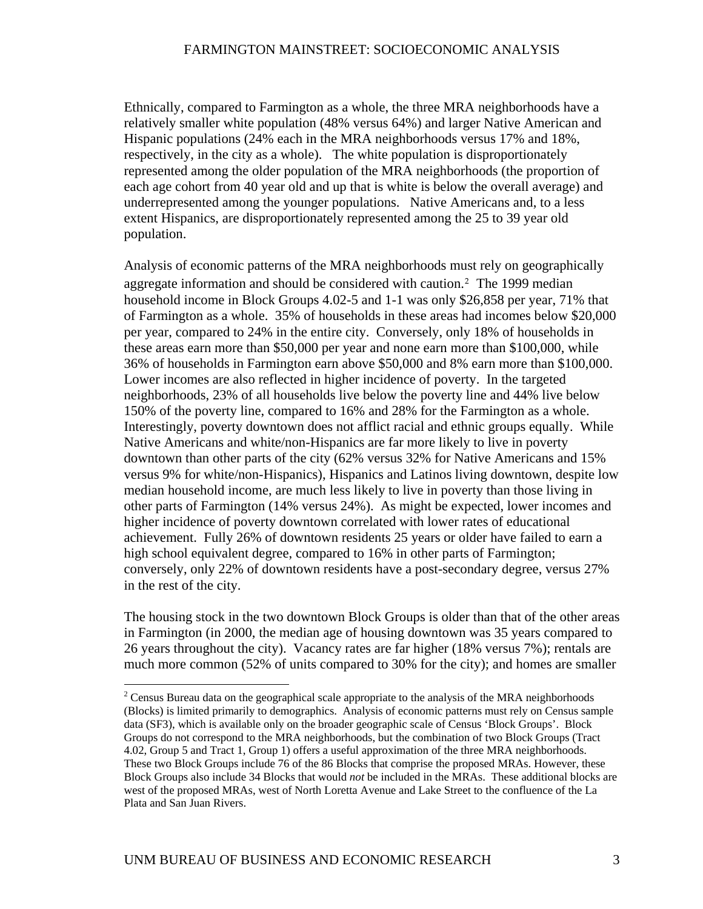Ethnically, compared to Farmington as a whole, the three MRA neighborhoods have a relatively smaller white population (48% versus 64%) and larger Native American and Hispanic populations (24% each in the MRA neighborhoods versus 17% and 18%, respectively, in the city as a whole). The white population is disproportionately represented among the older population of the MRA neighborhoods (the proportion of each age cohort from 40 year old and up that is white is below the overall average) and underrepresented among the younger populations. Native Americans and, to a less extent Hispanics, are disproportionately represented among the 25 to 39 year old population.

Analysis of economic patterns of the MRA neighborhoods must rely on geographically aggregate information and should be considered with caution.[2](#page-5-0) The 1999 median household income in Block Groups 4.02-5 and 1-1 was only \$26,858 per year, 71% that of Farmington as a whole. 35% of households in these areas had incomes below \$20,000 per year, compared to 24% in the entire city. Conversely, only 18% of households in these areas earn more than \$50,000 per year and none earn more than \$100,000, while 36% of households in Farmington earn above \$50,000 and 8% earn more than \$100,000. Lower incomes are also reflected in higher incidence of poverty. In the targeted neighborhoods, 23% of all households live below the poverty line and 44% live below 150% of the poverty line, compared to 16% and 28% for the Farmington as a whole. Interestingly, poverty downtown does not afflict racial and ethnic groups equally. While Native Americans and white/non-Hispanics are far more likely to live in poverty downtown than other parts of the city (62% versus 32% for Native Americans and 15% versus 9% for white/non-Hispanics), Hispanics and Latinos living downtown, despite low median household income, are much less likely to live in poverty than those living in other parts of Farmington (14% versus 24%). As might be expected, lower incomes and higher incidence of poverty downtown correlated with lower rates of educational achievement. Fully 26% of downtown residents 25 years or older have failed to earn a high school equivalent degree, compared to 16% in other parts of Farmington; conversely, only 22% of downtown residents have a post-secondary degree, versus 27% in the rest of the city.

The housing stock in the two downtown Block Groups is older than that of the other areas in Farmington (in 2000, the median age of housing downtown was 35 years compared to 26 years throughout the city). Vacancy rates are far higher (18% versus 7%); rentals are much more common (52% of units compared to 30% for the city); and homes are smaller

 $\overline{a}$ 

<span id="page-5-0"></span> $2^2$  Census Bureau data on the geographical scale appropriate to the analysis of the MRA neighborhoods (Blocks) is limited primarily to demographics. Analysis of economic patterns must rely on Census sample data (SF3), which is available only on the broader geographic scale of Census 'Block Groups'. Block Groups do not correspond to the MRA neighborhoods, but the combination of two Block Groups (Tract 4.02, Group 5 and Tract 1, Group 1) offers a useful approximation of the three MRA neighborhoods. These two Block Groups include 76 of the 86 Blocks that comprise the proposed MRAs. However, these Block Groups also include 34 Blocks that would *not* be included in the MRAs. These additional blocks are west of the proposed MRAs, west of North Loretta Avenue and Lake Street to the confluence of the La Plata and San Juan Rivers.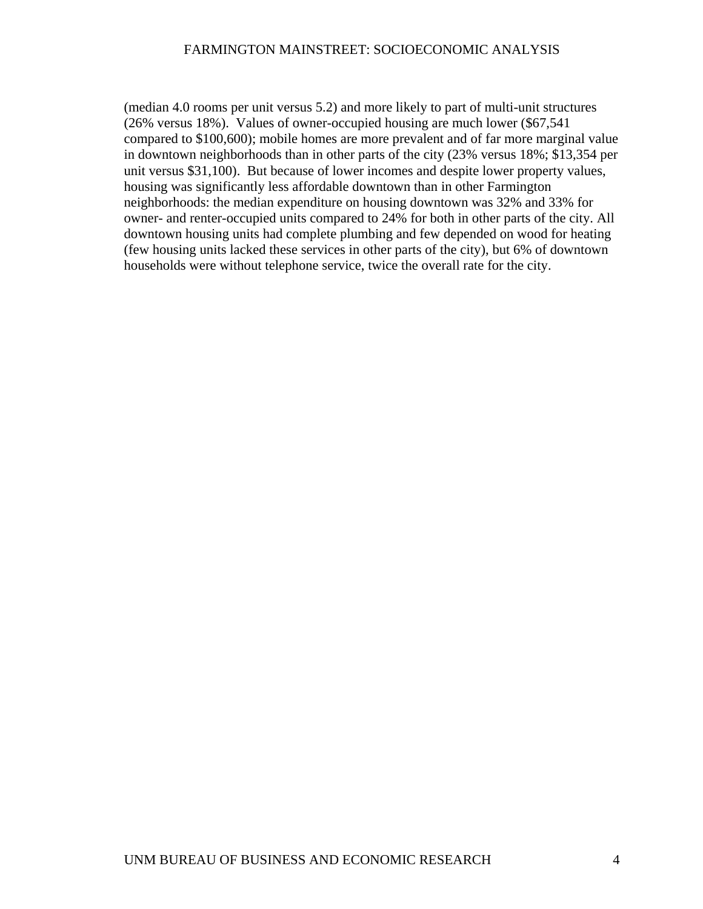(median 4.0 rooms per unit versus 5.2) and more likely to part of multi-unit structures (26% versus 18%). Values of owner-occupied housing are much lower (\$67,541 compared to \$100,600); mobile homes are more prevalent and of far more marginal value in downtown neighborhoods than in other parts of the city (23% versus 18%; \$13,354 per unit versus \$31,100). But because of lower incomes and despite lower property values, housing was significantly less affordable downtown than in other Farmington neighborhoods: the median expenditure on housing downtown was 32% and 33% for owner- and renter-occupied units compared to 24% for both in other parts of the city. All downtown housing units had complete plumbing and few depended on wood for heating (few housing units lacked these services in other parts of the city), but 6% of downtown households were without telephone service, twice the overall rate for the city.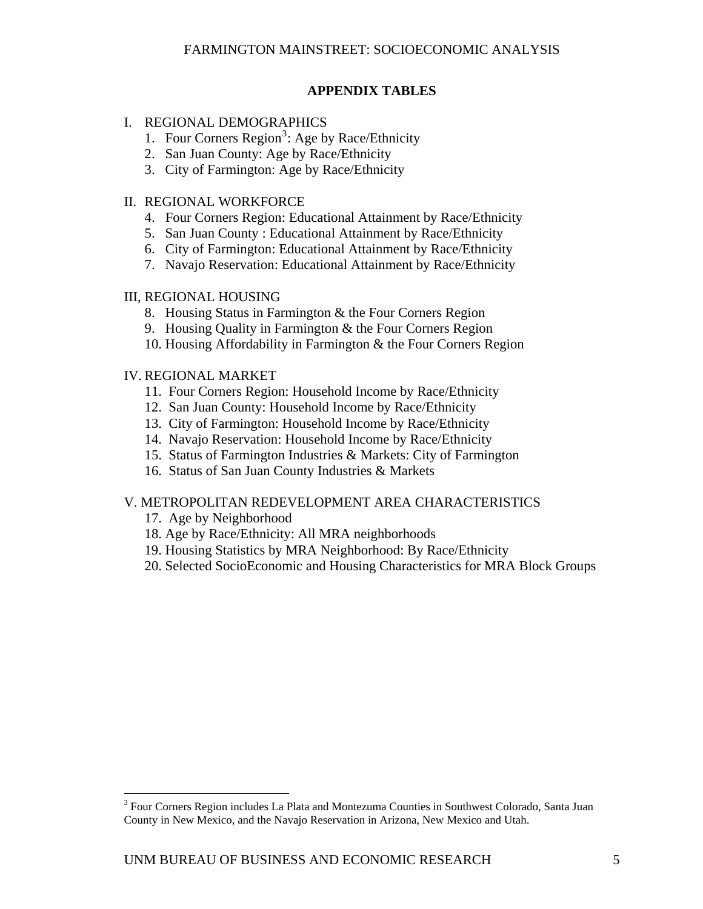## **APPENDIX TABLES**

## I. REGIONAL DEMOGRAPHICS

- 1. Four Corners Region<sup>[3](#page-7-0)</sup>: Age by Race/Ethnicity
- 2. San Juan County: Age by Race/Ethnicity
- 3. City of Farmington: Age by Race/Ethnicity

## II. REGIONAL WORKFORCE

- 4. Four Corners Region: Educational Attainment by Race/Ethnicity
- 5. San Juan County : Educational Attainment by Race/Ethnicity
- 6. City of Farmington: Educational Attainment by Race/Ethnicity
- 7. Navajo Reservation: Educational Attainment by Race/Ethnicity

## III, REGIONAL HOUSING

- 8. Housing Status in Farmington & the Four Corners Region
- 9. Housing Quality in Farmington & the Four Corners Region
- 10. Housing Affordability in Farmington & the Four Corners Region

## IV. REGIONAL MARKET

- 11. Four Corners Region: Household Income by Race/Ethnicity
- 12. San Juan County: Household Income by Race/Ethnicity
- 13. City of Farmington: Household Income by Race/Ethnicity
- 14. Navajo Reservation: Household Income by Race/Ethnicity
- 15. Status of Farmington Industries & Markets: City of Farmington
- 16. Status of San Juan County Industries & Markets

## V. METROPOLITAN REDEVELOPMENT AREA CHARACTERISTICS

17. Age by Neighborhood

 $\overline{a}$ 

- 18. Age by Race/Ethnicity: All MRA neighborhoods
- 19. Housing Statistics by MRA Neighborhood: By Race/Ethnicity
- 20. Selected SocioEconomic and Housing Characteristics for MRA Block Groups

<span id="page-7-0"></span><sup>&</sup>lt;sup>3</sup> Four Corners Region includes La Plata and Montezuma Counties in Southwest Colorado, Santa Juan County in New Mexico, and the Navajo Reservation in Arizona, New Mexico and Utah.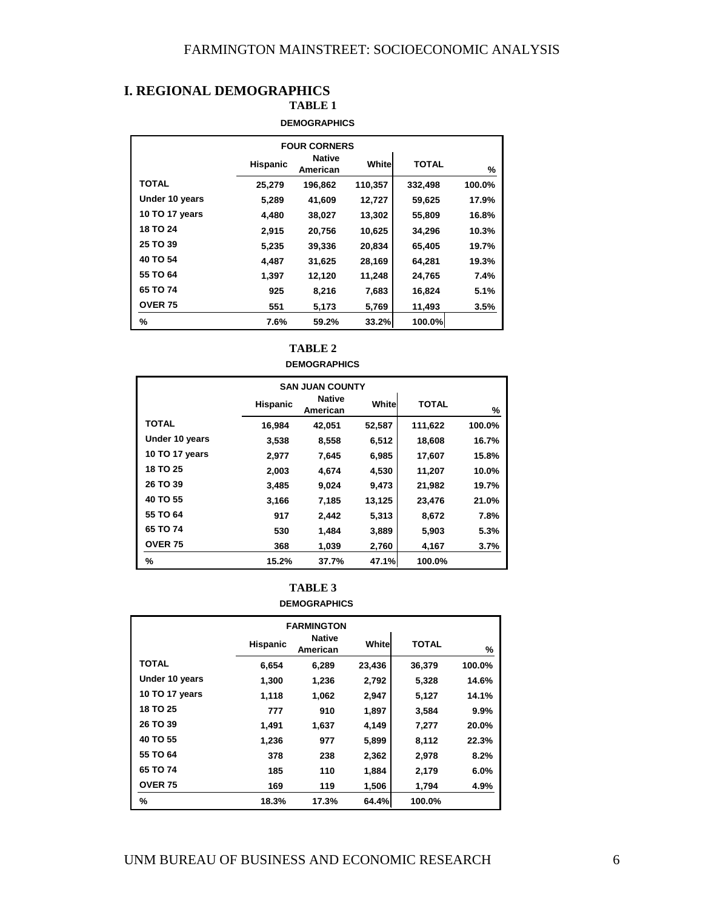## **I. REGIONAL DEMOGRAPHICS**

**TABLE 1** 

#### **DEMOGRAPHICS**

| <b>FOUR CORNERS</b>   |                 |                           |         |         |        |  |  |
|-----------------------|-----------------|---------------------------|---------|---------|--------|--|--|
|                       | <b>Hispanic</b> | <b>Native</b><br>American | White   | TOTAL   | %      |  |  |
| TOTAL                 | 25,279          | 196,862                   | 110,357 | 332,498 | 100.0% |  |  |
| Under 10 years        | 5,289           | 41,609                    | 12,727  | 59,625  | 17.9%  |  |  |
| <b>10 TO 17 years</b> | 4,480           | 38,027                    | 13,302  | 55,809  | 16.8%  |  |  |
| <b>18 TO 24</b>       | 2,915           | 20,756                    | 10,625  | 34,296  | 10.3%  |  |  |
| 25 TO 39              | 5,235           | 39,336                    | 20,834  | 65,405  | 19.7%  |  |  |
| 40 TO 54              | 4,487           | 31,625                    | 28,169  | 64,281  | 19.3%  |  |  |
| 55 TO 64              | 1,397           | 12,120                    | 11,248  | 24,765  | 7.4%   |  |  |
| 65 TO 74              | 925             | 8,216                     | 7,683   | 16,824  | 5.1%   |  |  |
| <b>OVER 75</b>        | 551             | 5,173                     | 5,769   | 11,493  | 3.5%   |  |  |
| %                     | 7.6%            | 59.2%                     | 33.2%   | 100.0%  |        |  |  |

#### **DEMOGRAPHICS**

| <b>SAN JUAN COUNTY</b> |                 |                           |        |              |        |  |  |  |
|------------------------|-----------------|---------------------------|--------|--------------|--------|--|--|--|
|                        | <b>Hispanic</b> | <b>Native</b><br>American | White  | <b>TOTAL</b> | %      |  |  |  |
| TOTAL                  | 16,984          | 42,051                    | 52,587 | 111,622      | 100.0% |  |  |  |
| Under 10 years         | 3,538           | 8,558                     | 6,512  | 18,608       | 16.7%  |  |  |  |
| 10 TO 17 years         | 2,977           | 7,645                     | 6,985  | 17,607       | 15.8%  |  |  |  |
| <b>18 TO 25</b>        | 2,003           | 4,674                     | 4,530  | 11,207       | 10.0%  |  |  |  |
| 26 TO 39               | 3,485           | 9,024                     | 9,473  | 21,982       | 19.7%  |  |  |  |
| 40 TO 55               | 3,166           | 7,185                     | 13,125 | 23,476       | 21.0%  |  |  |  |
| 55 TO 64               | 917             | 2,442                     | 5,313  | 8,672        | 7.8%   |  |  |  |
| 65 TO 74               | 530             | 1.484                     | 3,889  | 5,903        | 5.3%   |  |  |  |
| <b>OVER 75</b>         | 368             | 1,039                     | 2,760  | 4,167        | 3.7%   |  |  |  |
| %                      | 15.2%           | 37.7%                     | 47.1%  | 100.0%       |        |  |  |  |



#### **DEMOGRAPHICS**

| <b>FARMINGTON</b> |                 |                           |        |              |        |  |  |  |
|-------------------|-----------------|---------------------------|--------|--------------|--------|--|--|--|
|                   | <b>Hispanic</b> | <b>Native</b><br>American | Whitel | <b>TOTAL</b> | %      |  |  |  |
| TOTAL             | 6,654           | 6,289                     | 23,436 | 36,379       | 100.0% |  |  |  |
| Under 10 years    | 1,300           | 1,236                     | 2,792  | 5,328        | 14.6%  |  |  |  |
| 10 TO 17 years    | 1,118           | 1,062                     | 2,947  | 5,127        | 14.1%  |  |  |  |
| 18 TO 25          | 777             | 910                       | 1,897  | 3,584        | 9.9%   |  |  |  |
| 26 TO 39          | 1.491           | 1,637                     | 4,149  | 7,277        | 20.0%  |  |  |  |
| 40 TO 55          | 1,236           | 977                       | 5,899  | 8,112        | 22.3%  |  |  |  |
| 55 TO 64          | 378             | 238                       | 2,362  | 2,978        | 8.2%   |  |  |  |
| 65 TO 74          | 185             | 110                       | 1,884  | 2,179        | 6.0%   |  |  |  |
| <b>OVER 75</b>    | 169             | 119                       | 1,506  | 1,794        | 4.9%   |  |  |  |
| %                 | 18.3%           | 17.3%                     | 64.4%  | 100.0%       |        |  |  |  |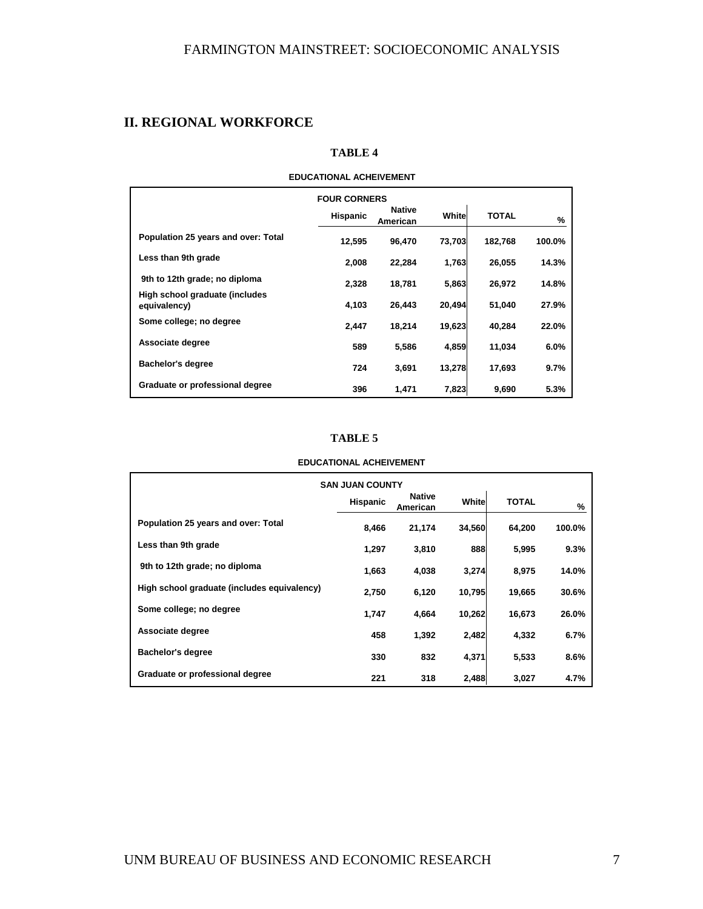## **II. REGIONAL WORKFORCE**

#### **TABLE 4**

## **EDUCATIONAL ACHEIVEMENT**

|                                                | <b>FOUR CORNERS</b><br><b>Hispanic</b> | Native<br>American | White  | <b>TOTAL</b> | %      |
|------------------------------------------------|----------------------------------------|--------------------|--------|--------------|--------|
| Population 25 years and over: Total            | 12,595                                 | 96.470             | 73,703 | 182,768      | 100.0% |
| Less than 9th grade                            | 2,008                                  | 22,284             | 1,763  | 26,055       | 14.3%  |
| 9th to 12th grade; no diploma                  | 2.328                                  | 18.781             | 5,863  | 26.972       | 14.8%  |
| High school graduate (includes<br>equivalency) | 4,103                                  | 26,443             | 20,494 | 51,040       | 27.9%  |
| Some college; no degree                        | 2,447                                  | 18.214             | 19,623 | 40,284       | 22.0%  |
| Associate degree                               | 589                                    | 5,586              | 4,859  | 11,034       | 6.0%   |
| <b>Bachelor's degree</b>                       | 724                                    | 3.691              | 13,278 | 17,693       | 9.7%   |
| Graduate or professional degree                | 396                                    | 1,471              | 7,823  | 9,690        | 5.3%   |

#### **TABLE 5**

#### **EDUCATIONAL ACHEIVEMENT**

| <b>SAN JUAN COUNTY</b>                      |                 |                           |        |              |        |  |  |  |
|---------------------------------------------|-----------------|---------------------------|--------|--------------|--------|--|--|--|
|                                             | <b>Hispanic</b> | <b>Native</b><br>American | White  | <b>TOTAL</b> | %      |  |  |  |
| Population 25 years and over: Total         | 8.466           | 21,174                    | 34,560 | 64,200       | 100.0% |  |  |  |
| Less than 9th grade                         | 1.297           | 3,810                     | 888    | 5,995        | 9.3%   |  |  |  |
| 9th to 12th grade; no diploma               | 1.663           | 4,038                     | 3,274  | 8,975        | 14.0%  |  |  |  |
| High school graduate (includes equivalency) | 2,750           | 6,120                     | 10,795 | 19,665       | 30.6%  |  |  |  |
| Some college; no degree                     | 1.747           | 4,664                     | 10,262 | 16,673       | 26.0%  |  |  |  |
| Associate degree                            | 458             | 1,392                     | 2,482  | 4,332        | 6.7%   |  |  |  |
| <b>Bachelor's degree</b>                    | 330             | 832                       | 4,371  | 5,533        | 8.6%   |  |  |  |
| Graduate or professional degree             | 221             | 318                       | 2,488  | 3,027        | 4.7%   |  |  |  |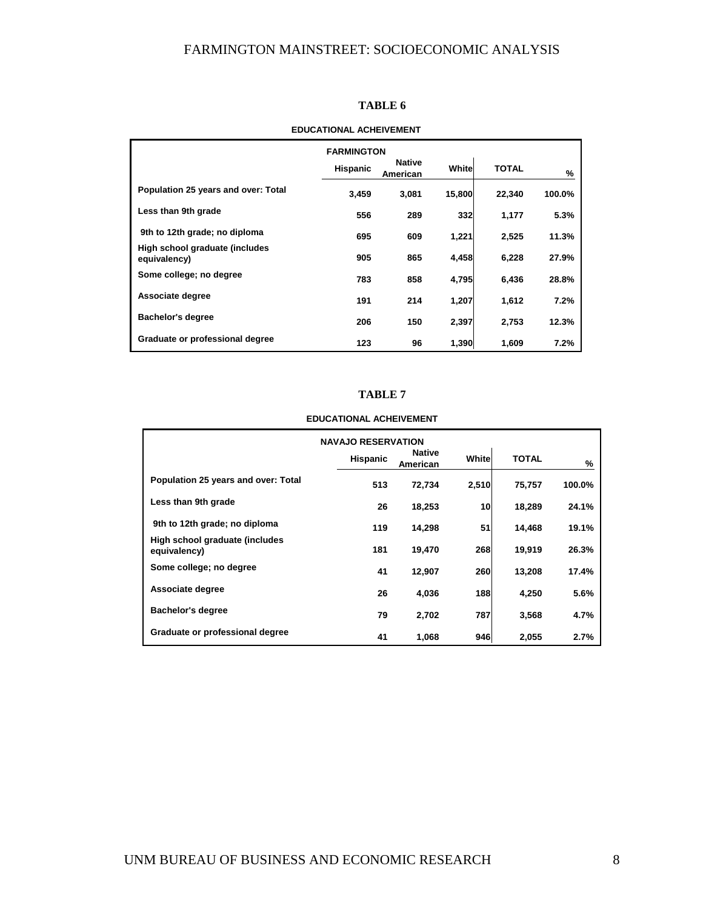#### **TABLE 6**

## **Hispanic Native American White TOTAL % Population 25 years and over: Total 3,459 3,081 15,800 22,340 100.0% Less than 9th grade 556 289 332 1,177 5.3% 9th to 12th grade; no diploma 695 609 1,221 2,525 11.3% High school graduate (includes equivalency) 905 865 4,458 6,228 27.9% Some college; no degree 1888 783 858 4,795 6,436 28.8% Associate degree 191 214 1,207 1,612 7.2% Bachelor's degree 206 150 2,397 2,753 12.3% Graduate or professional degree 123 96 1,390 1,609 7.2% FARMINGTON**

#### **EDUCATIONAL ACHEIVEMENT**

#### **TABLE 7**

#### **EDUCATIONAL ACHEIVEMENT**

| <b>NAVAJO RESERVATION</b>                      |                 |                           |            |              |        |  |
|------------------------------------------------|-----------------|---------------------------|------------|--------------|--------|--|
|                                                | <b>Hispanic</b> | <b>Native</b><br>American | Whitel     | <b>TOTAL</b> | $\%$   |  |
| <b>Population 25 years and over: Total</b>     | 513             | 72,734                    | 2,510      | 75,757       | 100.0% |  |
| Less than 9th grade                            | 26              | 18,253                    | 10         | 18,289       | 24.1%  |  |
| 9th to 12th grade; no diploma                  | 119             | 14,298                    | 51         | 14.468       | 19.1%  |  |
| High school graduate (includes<br>equivalency) | 181             | 19,470                    | 268        | 19,919       | 26.3%  |  |
| Some college; no degree                        | 41              | 12,907                    | <b>260</b> | 13,208       | 17.4%  |  |
| Associate degree                               | 26              | 4.036                     | 188        | 4,250        | 5.6%   |  |
| <b>Bachelor's degree</b>                       | 79              | 2,702                     | 787        | 3,568        | 4.7%   |  |
| Graduate or professional degree                | 41              | 1,068                     | 946        | 2,055        | 2.7%   |  |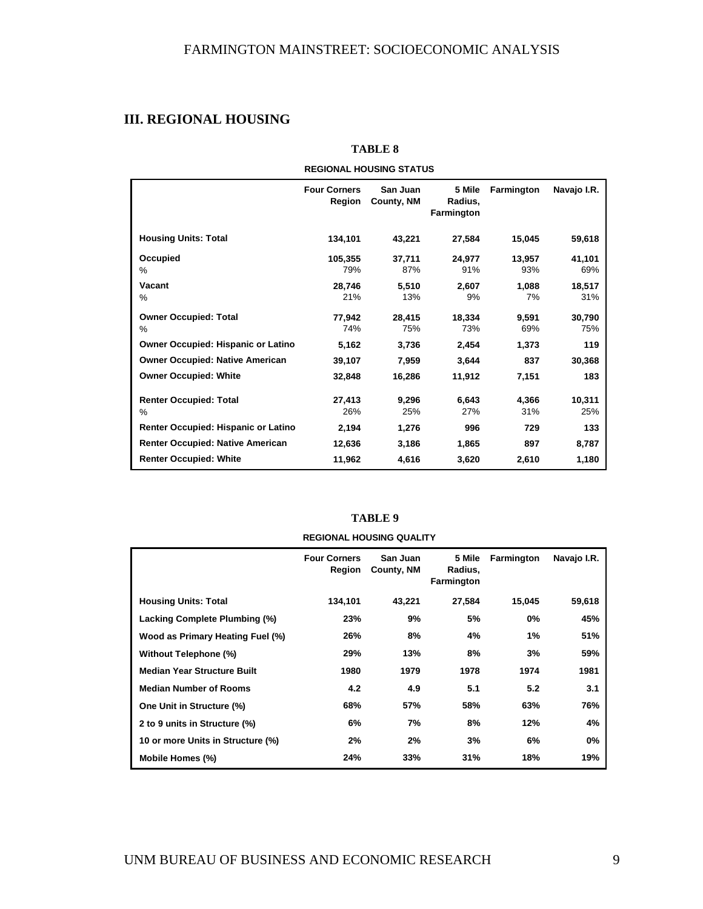## **III. REGIONAL HOUSING**

| REGIUNAL NUUƏING ƏTATUƏ                   |                               |                        |                                 |               |               |  |  |
|-------------------------------------------|-------------------------------|------------------------|---------------------------------|---------------|---------------|--|--|
|                                           | <b>Four Corners</b><br>Region | San Juan<br>County, NM | 5 Mile<br>Radius,<br>Farmington | Farmington    | Navajo I.R.   |  |  |
| <b>Housing Units: Total</b>               | 134,101                       | 43,221                 | 27,584                          | 15,045        | 59,618        |  |  |
| Occupied<br>$\%$                          | 105,355<br>79%                | 37,711<br>87%          | 24,977<br>91%                   | 13,957<br>93% | 41,101<br>69% |  |  |
| Vacant<br>%                               | 28.746<br>21%                 | 5.510<br>13%           | 2,607<br>9%                     | 1,088<br>7%   | 18,517<br>31% |  |  |
| <b>Owner Occupied: Total</b><br>%         | 77.942<br>74%                 | 28.415<br>75%          | 18,334<br>73%                   | 9,591<br>69%  | 30,790<br>75% |  |  |
| <b>Owner Occupied: Hispanic or Latino</b> | 5,162                         | 3,736                  | 2,454                           | 1,373         | 119           |  |  |
| <b>Owner Occupied: Native American</b>    | 39,107                        | 7,959                  | 3,644                           | 837           | 30,368        |  |  |
| <b>Owner Occupied: White</b>              | 32,848                        | 16,286                 | 11,912                          | 7,151         | 183           |  |  |
| <b>Renter Occupied: Total</b><br>%        | 27,413<br>26%                 | 9,296<br>25%           | 6,643<br>27%                    | 4,366<br>31%  | 10,311<br>25% |  |  |
| Renter Occupied: Hispanic or Latino       | 2,194                         | 1,276                  | 996                             | 729           | 133           |  |  |
| <b>Renter Occupied: Native American</b>   | 12,636                        | 3,186                  | 1,865                           | 897           | 8,787         |  |  |
| <b>Renter Occupied: White</b>             | 11,962                        | 4,616                  | 3,620                           | 2,610         | 1,180         |  |  |

**TABLE 8** 

**REGIONAL HOUSING STATUS**

| TABLE 9                         |
|---------------------------------|
| <b>REGIONAL HOUSING QUALITY</b> |

|                                    | <b>Four Corners</b><br>Region | San Juan<br>County, NM | 5 Mile<br>Radius,<br>Farmington | <b>Farmington</b> | Navajo I.R. |
|------------------------------------|-------------------------------|------------------------|---------------------------------|-------------------|-------------|
| <b>Housing Units: Total</b>        | 134,101                       | 43,221                 | 27,584                          | 15,045            | 59,618      |
| Lacking Complete Plumbing (%)      | 23%                           | 9%                     | 5%                              | 0%                | 45%         |
| Wood as Primary Heating Fuel (%)   | 26%                           | 8%                     | 4%                              | 1%                | 51%         |
| Without Telephone (%)              | 29%                           | 13%                    | 8%                              | 3%                | 59%         |
| <b>Median Year Structure Built</b> | 1980                          | 1979                   | 1978                            | 1974              | 1981        |
| <b>Median Number of Rooms</b>      | 4.2                           | 4.9                    | 5.1                             | 5.2               | 3.1         |
| One Unit in Structure (%)          | 68%                           | 57%                    | 58%                             | 63%               | 76%         |
| 2 to 9 units in Structure (%)      | 6%                            | 7%                     | 8%                              | 12%               | 4%          |
| 10 or more Units in Structure (%)  | 2%                            | 2%                     | 3%                              | 6%                | 0%          |
| Mobile Homes (%)                   | 24%                           | 33%                    | 31%                             | 18%               | 19%         |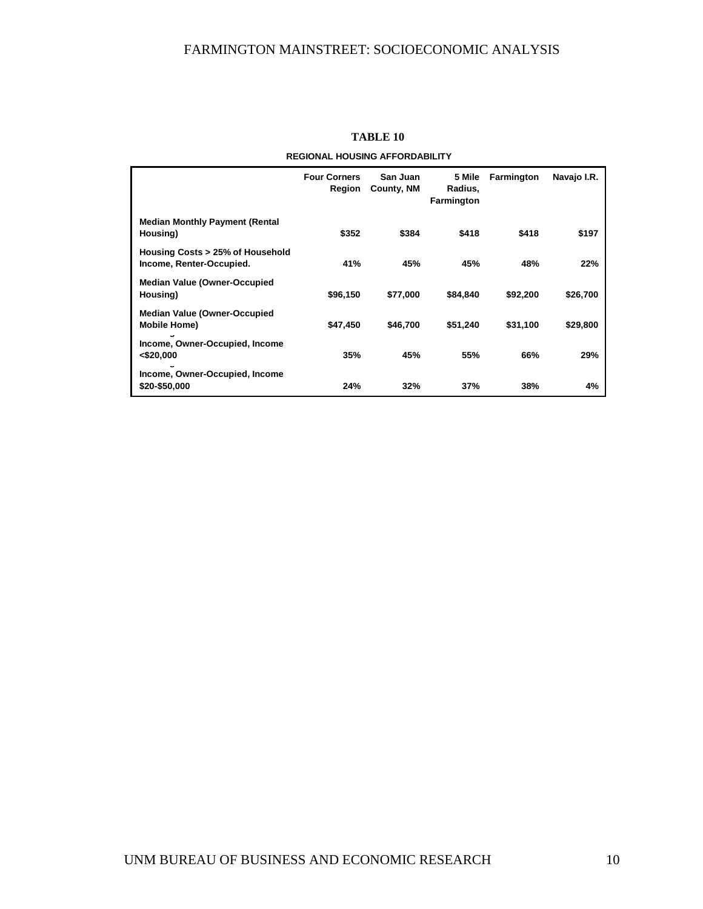|                                                              | <b>Four Corners</b><br>Region | San Juan<br>County, NM | 5 Mile<br>Radius,<br>Farmington | <b>Farmington</b> | Navajo I.R. |
|--------------------------------------------------------------|-------------------------------|------------------------|---------------------------------|-------------------|-------------|
| <b>Median Monthly Payment (Rental</b><br>Housing)            | \$352                         | \$384                  | \$418                           | \$418             | \$197       |
| Housing Costs > 25% of Household<br>Income, Renter-Occupied. | 41%                           | 45%                    | 45%                             | 48%               | 22%         |
| <b>Median Value (Owner-Occupied</b><br>Housing)              | \$96,150                      | \$77.000               | \$84.840                        | \$92,200          | \$26,700    |
| <b>Median Value (Owner-Occupied</b><br><b>Mobile Home)</b>   | \$47,450                      | \$46,700               | \$51,240                        | \$31,100          | \$29,800    |
| Income, Owner-Occupied, Income<br>< \$20,000<br>w            | 35%                           | 45%                    | 55%                             | 66%               | 29%         |
| Income, Owner-Occupied, Income<br>\$20-\$50,000              | 24%                           | 32%                    | 37%                             | 38%               | 4%          |

#### **TABLE 10**

**REGIONAL HOUSING AFFORDABILITY**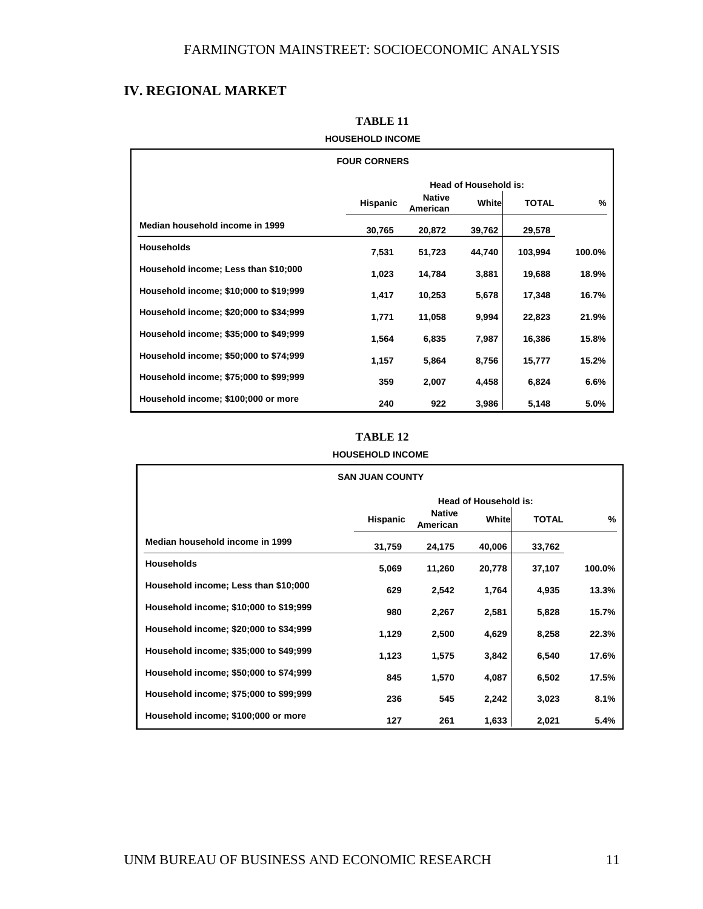## **IV. REGIONAL MARKET**

| <b>FOUR CORNERS</b>                    |                              |                           |        |              |               |  |  |
|----------------------------------------|------------------------------|---------------------------|--------|--------------|---------------|--|--|
|                                        | <b>Head of Household is:</b> |                           |        |              |               |  |  |
|                                        | <b>Hispanic</b>              | <b>Native</b><br>American | Whitel | <b>TOTAL</b> | $\frac{9}{6}$ |  |  |
| Median household income in 1999        | 30,765                       | 20,872                    | 39,762 | 29,578       |               |  |  |
| <b>Households</b>                      | 7,531                        | 51,723                    | 44,740 | 103,994      | 100.0%        |  |  |
| Household income; Less than \$10;000   | 1,023                        | 14,784                    | 3,881  | 19,688       | 18.9%         |  |  |
| Household income; \$10;000 to \$19;999 | 1,417                        | 10,253                    | 5,678  | 17,348       | 16.7%         |  |  |
| Household income; \$20;000 to \$34;999 | 1,771                        | 11,058                    | 9,994  | 22,823       | 21.9%         |  |  |
| Household income; \$35;000 to \$49;999 | 1,564                        | 6,835                     | 7,987  | 16,386       | 15.8%         |  |  |
| Household income; \$50;000 to \$74;999 | 1,157                        | 5,864                     | 8,756  | 15,777       | 15.2%         |  |  |
| Household income; \$75;000 to \$99;999 | 359                          | 2,007                     | 4,458  | 6,824        | 6.6%          |  |  |
| Household income; \$100;000 or more    | 240                          | 922                       | 3,986  | 5,148        | 5.0%          |  |  |

## **TABLE 11 HOUSEHOLD INCOME**

### **TABLE 12**

| <b>HOUSEHOLD INCOME</b>                |                              |                           |        |              |        |  |
|----------------------------------------|------------------------------|---------------------------|--------|--------------|--------|--|
| <b>SAN JUAN COUNTY</b>                 |                              |                           |        |              |        |  |
|                                        | <b>Head of Household is:</b> |                           |        |              |        |  |
|                                        | <b>Hispanic</b>              | <b>Native</b><br>American | Whitel | <b>TOTAL</b> | $\%$   |  |
| Median household income in 1999        | 31,759                       | 24,175                    | 40,006 | 33,762       |        |  |
| <b>Households</b>                      | 5,069                        | 11,260                    | 20,778 | 37,107       | 100.0% |  |
| Household income; Less than \$10;000   | 629                          | 2,542                     | 1,764  | 4,935        | 13.3%  |  |
| Household income; \$10;000 to \$19;999 | 980                          | 2,267                     | 2,581  | 5,828        | 15.7%  |  |
| Household income; \$20;000 to \$34;999 | 1,129                        | 2,500                     | 4,629  | 8,258        | 22.3%  |  |
| Household income; \$35;000 to \$49;999 | 1,123                        | 1,575                     | 3,842  | 6,540        | 17.6%  |  |
| Household income; \$50;000 to \$74;999 | 845                          | 1,570                     | 4,087  | 6,502        | 17.5%  |  |
| Household income; \$75;000 to \$99;999 | 236                          | 545                       | 2,242  | 3,023        | 8.1%   |  |
| Household income; \$100;000 or more    | 127                          | 261                       | 1,633  | 2,021        | 5.4%   |  |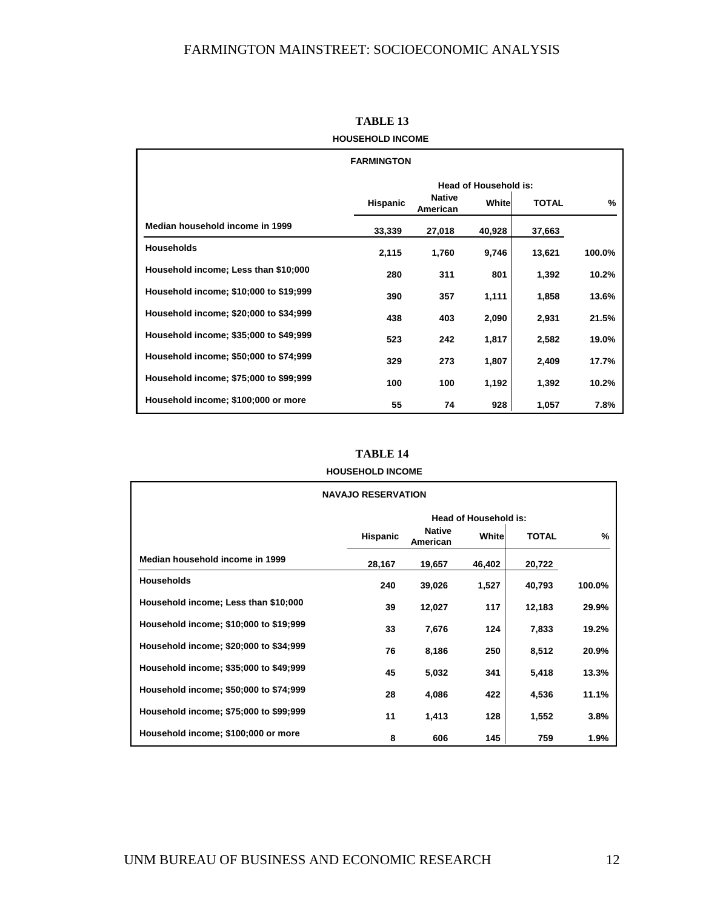|                                        | <b>FARMINGTON</b>            |                           |        |              |        |  |
|----------------------------------------|------------------------------|---------------------------|--------|--------------|--------|--|
|                                        | <b>Head of Household is:</b> |                           |        |              |        |  |
|                                        | <b>Hispanic</b>              | <b>Native</b><br>American | Whitel | <b>TOTAL</b> | $\%$   |  |
| Median household income in 1999        | 33,339                       | 27,018                    | 40,928 | 37,663       |        |  |
| <b>Households</b>                      | 2,115                        | 1,760                     | 9,746  | 13,621       | 100.0% |  |
| Household income; Less than \$10;000   | 280                          | 311                       | 801    | 1,392        | 10.2%  |  |
| Household income; \$10;000 to \$19;999 | 390                          | 357                       | 1,111  | 1,858        | 13.6%  |  |
| Household income; \$20;000 to \$34;999 | 438                          | 403                       | 2,090  | 2,931        | 21.5%  |  |
| Household income; \$35;000 to \$49;999 | 523                          | 242                       | 1,817  | 2,582        | 19.0%  |  |
| Household income; \$50;000 to \$74;999 | 329                          | 273                       | 1,807  | 2,409        | 17.7%  |  |
| Household income; \$75;000 to \$99;999 | 100                          | 100                       | 1,192  | 1,392        | 10.2%  |  |
| Household income; \$100;000 or more    | 55                           | 74                        | 928    | 1,057        | 7.8%   |  |

**TABLE 13 HOUSEHOLD INCOME**

#### **TABLE 14**

**HOUSEHOLD INCOME**

| <b>NAVAJO RESERVATION</b>              |                       |                           |        |              |        |  |
|----------------------------------------|-----------------------|---------------------------|--------|--------------|--------|--|
|                                        | Head of Household is: |                           |        |              |        |  |
|                                        | <b>Hispanic</b>       | <b>Native</b><br>American | Whitel | <b>TOTAL</b> | %      |  |
| Median household income in 1999        | 28,167                | 19,657                    | 46,402 | 20,722       |        |  |
| <b>Households</b>                      | 240                   | 39,026                    | 1,527  | 40,793       | 100.0% |  |
| Household income; Less than \$10;000   | 39                    | 12,027                    | 117    | 12,183       | 29.9%  |  |
| Household income; \$10;000 to \$19;999 | 33                    | 7,676                     | 124    | 7,833        | 19.2%  |  |
| Household income; \$20;000 to \$34;999 | 76                    | 8,186                     | 250    | 8,512        | 20.9%  |  |
| Household income; \$35;000 to \$49;999 | 45                    | 5,032                     | 341    | 5,418        | 13.3%  |  |
| Household income; \$50;000 to \$74;999 | 28                    | 4,086                     | 422    | 4,536        | 11.1%  |  |
| Household income; \$75;000 to \$99;999 | 11                    | 1,413                     | 128    | 1,552        | 3.8%   |  |
| Household income; \$100;000 or more    | 8                     | 606                       | 145    | 759          | 1.9%   |  |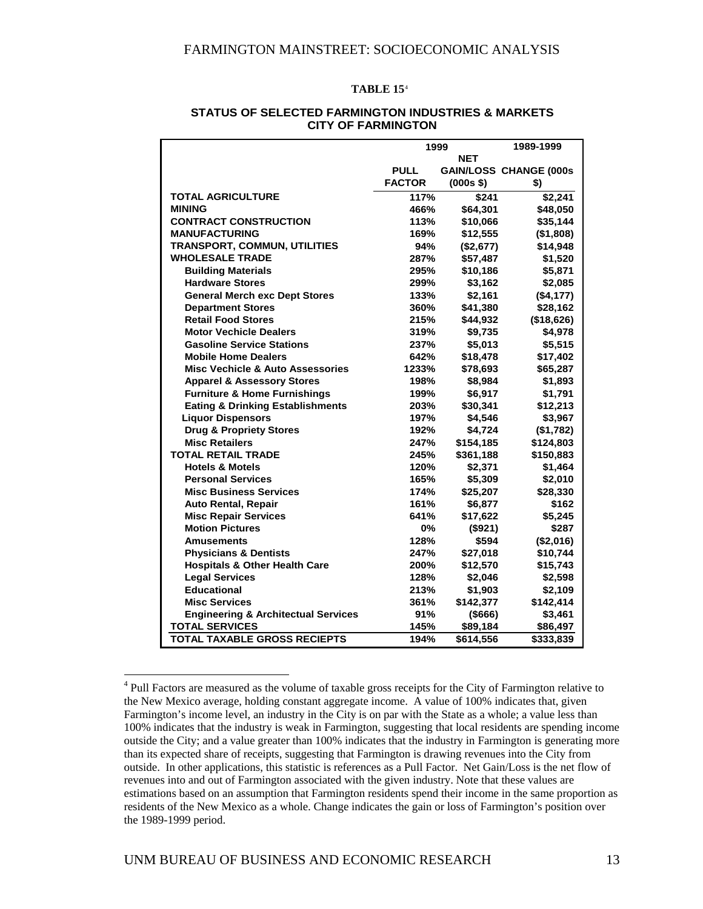#### **TABLE 15**[4](#page-15-0)

|                                                | 1999          |             | 1989-1999                     |
|------------------------------------------------|---------------|-------------|-------------------------------|
|                                                |               | NET         |                               |
|                                                | <b>PULL</b>   |             | <b>GAIN/LOSS CHANGE (000s</b> |
|                                                | <b>FACTOR</b> | $(000s$ \$) | \$)                           |
| <b>TOTAL AGRICULTURE</b>                       | 117%          | \$241       | \$2,241                       |
| <b>MINING</b>                                  | 466%          | \$64,301    | \$48,050                      |
| <b>CONTRACT CONSTRUCTION</b>                   | 113%          | \$10,066    | \$35,144                      |
| <b>MANUFACTURING</b>                           | 169%          | \$12,555    | ( \$1,808)                    |
| <b>TRANSPORT, COMMUN, UTILITIES</b>            | 94%           | (\$2,677)   | \$14,948                      |
| <b>WHOLESALE TRADE</b>                         | 287%          | \$57,487    | \$1,520                       |
| <b>Building Materials</b>                      | 295%          | \$10,186    | \$5,871                       |
| <b>Hardware Stores</b>                         | 299%          | \$3,162     | \$2,085                       |
| <b>General Merch exc Dept Stores</b>           | 133%          | \$2,161     | (\$4,177)                     |
| <b>Department Stores</b>                       | 360%          | \$41,380    | \$28,162                      |
| <b>Retail Food Stores</b>                      | 215%          | \$44,932    | (\$18,626)                    |
| <b>Motor Vechicle Dealers</b>                  | 319%          | \$9,735     | \$4,978                       |
| <b>Gasoline Service Stations</b>               | 237%          | \$5,013     | \$5,515                       |
| <b>Mobile Home Dealers</b>                     | 642%          | \$18,478    | \$17,402                      |
| <b>Misc Vechicle &amp; Auto Assessories</b>    | 1233%         | \$78,693    | \$65,287                      |
| <b>Apparel &amp; Assessory Stores</b>          | 198%          | \$8,984     | \$1,893                       |
| <b>Furniture &amp; Home Furnishings</b>        | 199%          | \$6,917     | \$1,791                       |
| <b>Eating &amp; Drinking Establishments</b>    | 203%          | \$30,341    | \$12,213                      |
| <b>Liquor Dispensors</b>                       | 197%          | \$4,546     | \$3,967                       |
| <b>Drug &amp; Propriety Stores</b>             | 192%          | \$4,724     | (\$1,782)                     |
| <b>Misc Retailers</b>                          | 247%          | \$154,185   | \$124,803                     |
| <b>TOTAL RETAIL TRADE</b>                      | 245%          | \$361,188   | \$150,883                     |
| <b>Hotels &amp; Motels</b>                     | 120%          | \$2,371     | \$1,464                       |
| <b>Personal Services</b>                       | 165%          | \$5,309     | \$2,010                       |
| <b>Misc Business Services</b>                  | 174%          | \$25,207    | \$28,330                      |
| <b>Auto Rental, Repair</b>                     | 161%          | \$6,877     | \$162                         |
| <b>Misc Repair Services</b>                    | 641%          | \$17,622    | \$5,245                       |
| <b>Motion Pictures</b>                         | $0\%$         | (\$921)     | \$287                         |
| <b>Amusements</b>                              | 128%          | \$594       | (\$2,016)                     |
| <b>Physicians &amp; Dentists</b>               | 247%          | \$27,018    | \$10,744                      |
| <b>Hospitals &amp; Other Health Care</b>       | 200%          | \$12,570    | \$15,743                      |
| <b>Legal Services</b>                          | 128%          | \$2,046     | \$2,598                       |
| <b>Educational</b>                             | 213%          | \$1,903     | \$2,109                       |
| <b>Misc Services</b>                           | 361%          | \$142,377   | \$142,414                     |
| <b>Engineering &amp; Architectual Services</b> | 91%           | ( \$666)    | \$3,461                       |
| <b>TOTAL SERVICES</b>                          | 145%          | \$89,184    | \$86,497                      |
| <b>TOTAL TAXABLE GROSS RECIEPTS</b>            | 194%          | \$614,556   | \$333,839                     |

#### **STATUS OF SELECTED FARMINGTON INDUSTRIES & MARKETS CITY OF FARMINGTON**

1

<span id="page-15-0"></span><sup>&</sup>lt;sup>4</sup> Pull Factors are measured as the volume of taxable gross receipts for the City of Farmington relative to the New Mexico average, holding constant aggregate income. A value of 100% indicates that, given Farmington's income level, an industry in the City is on par with the State as a whole; a value less than 100% indicates that the industry is weak in Farmington, suggesting that local residents are spending income outside the City; and a value greater than 100% indicates that the industry in Farmington is generating more than its expected share of receipts, suggesting that Farmington is drawing revenues into the City from outside. In other applications, this statistic is references as a Pull Factor. Net Gain/Loss is the net flow of revenues into and out of Farmington associated with the given industry. Note that these values are estimations based on an assumption that Farmington residents spend their income in the same proportion as residents of the New Mexico as a whole. Change indicates the gain or loss of Farmington's position over the 1989-1999 period.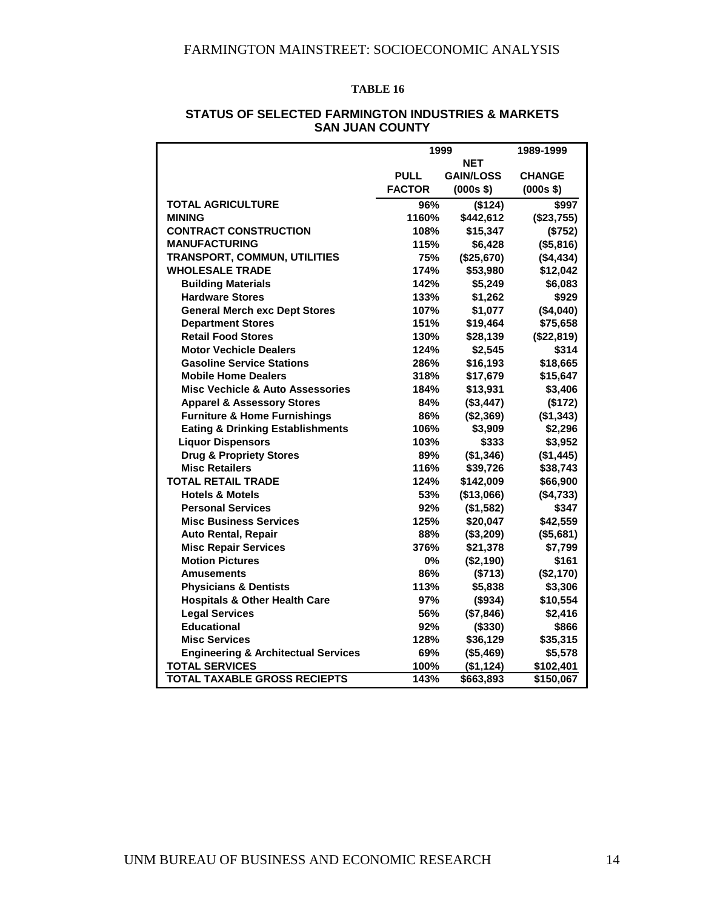#### **TABLE 16**

|                                                | 1999          | 1989-1999        |               |
|------------------------------------------------|---------------|------------------|---------------|
|                                                |               | <b>NET</b>       |               |
|                                                | <b>PULL</b>   | <b>GAIN/LOSS</b> | <b>CHANGE</b> |
|                                                | <b>FACTOR</b> | $(000s$ \$)      | $(000s$ \$)   |
| <b>TOTAL AGRICULTURE</b>                       | 96%           | (\$124)          | \$997         |
| <b>MINING</b>                                  | 1160%         | \$442,612        | (\$23,755)    |
| <b>CONTRACT CONSTRUCTION</b>                   | 108%          | \$15,347         | (\$752)       |
| <b>MANUFACTURING</b>                           | 115%          | \$6,428          | (\$5,816)     |
| <b>TRANSPORT, COMMUN, UTILITIES</b>            | 75%           | (\$25,670)       | (\$4,434)     |
| <b>WHOLESALE TRADE</b>                         | 174%          | \$53,980         | \$12,042      |
| <b>Building Materials</b>                      | 142%          | \$5,249          | \$6,083       |
| <b>Hardware Stores</b>                         | 133%          | \$1,262          | \$929         |
| <b>General Merch exc Dept Stores</b>           | 107%          | \$1,077          | (\$4,040)     |
| <b>Department Stores</b>                       | 151%          | \$19,464         | \$75,658      |
| <b>Retail Food Stores</b>                      | 130%          | \$28,139         | (\$22,819)    |
| <b>Motor Vechicle Dealers</b>                  | 124%          | \$2,545          | \$314         |
| <b>Gasoline Service Stations</b>               | 286%          | \$16,193         | \$18,665      |
| <b>Mobile Home Dealers</b>                     | 318%          | \$17,679         | \$15,647      |
| <b>Misc Vechicle &amp; Auto Assessories</b>    | 184%          | \$13,931         | \$3,406       |
| <b>Apparel &amp; Assessory Stores</b>          | 84%           | (\$3,447)        | (\$172)       |
| <b>Furniture &amp; Home Furnishings</b>        | 86%           | (\$2,369)        | (\$1,343)     |
| <b>Eating &amp; Drinking Establishments</b>    | 106%          | \$3,909          | \$2,296       |
| <b>Liquor Dispensors</b>                       | 103%          | \$333            | \$3,952       |
| <b>Drug &amp; Propriety Stores</b>             | 89%           | (\$1,346)        | (\$1,445)     |
| <b>Misc Retailers</b>                          | 116%          | \$39,726         | \$38,743      |
| <b>TOTAL RETAIL TRADE</b>                      | 124%          | \$142,009        | \$66,900      |
| <b>Hotels &amp; Motels</b>                     | 53%           | (\$13,066)       | (\$4,733)     |
| <b>Personal Services</b>                       | 92%           | (\$1,582)        | \$347         |
| <b>Misc Business Services</b>                  | 125%          | \$20,047         | \$42,559      |
| <b>Auto Rental, Repair</b>                     | 88%           | (\$3,209)        | (\$5,681)     |
| <b>Misc Repair Services</b>                    | 376%          | \$21,378         | \$7,799       |
| <b>Motion Pictures</b>                         | 0%            | (\$2,190)        | \$161         |
| <b>Amusements</b>                              | 86%           | (\$713)          | (\$2,170)     |
| <b>Physicians &amp; Dentists</b>               | 113%          | \$5,838          | \$3,306       |
| <b>Hospitals &amp; Other Health Care</b>       | 97%           | (\$934)          | \$10,554      |
| <b>Legal Services</b>                          | 56%           | (\$7,846)        | \$2,416       |
| <b>Educational</b>                             | 92%           | (\$330)          | \$866         |
| <b>Misc Services</b>                           | 128%          | \$36,129         | \$35,315      |
| <b>Engineering &amp; Architectual Services</b> | 69%           | (\$5,469)        | \$5,578       |
| <b>TOTAL SERVICES</b>                          | 100%          | (\$1,124)        | \$102,401     |
| <b>TOTAL TAXABLE GROSS RECIEPTS</b>            | 143%          | \$663,893        | \$150,067     |

#### **STATUS OF SELECTED FARMINGTON INDUSTRIES & MARKETS SAN JUAN COUNTY**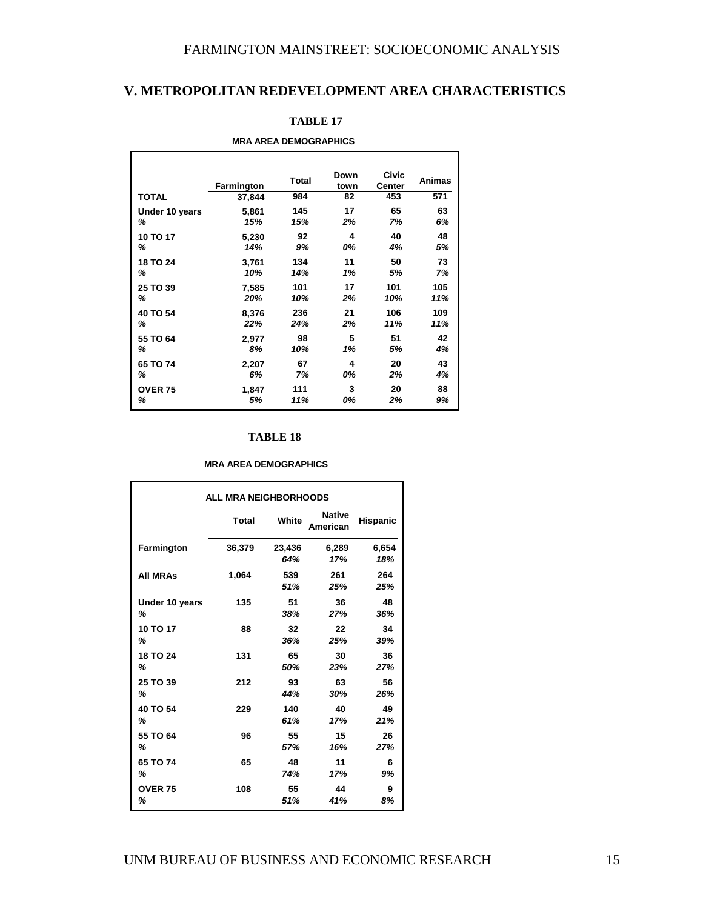## **V. METROPOLITAN REDEVELOPMENT AREA CHARACTERISTICS**

| <b>MRA AREA DEMOGRAPHICS</b> |            |       |              |                        |        |
|------------------------------|------------|-------|--------------|------------------------|--------|
|                              | Farmington | Total | Down<br>town | <b>Civic</b><br>Center | Animas |
| <b>TOTAL</b>                 | 37,844     | 984   | 82           | 453                    | 571    |
| Under 10 years               | 5,861      | 145   | 17           | 65                     | 63     |
| ℅                            | 15%        | 15%   | 2%           | 7%                     | 6%     |
| 10 TO 17                     | 5,230      | 92    | 4            | 40                     | 48     |
| %                            | 14%        | 9%    | 0%           | 4%                     | 5%     |
| 18 TO 24                     | 3,761      | 134   | 11           | 50                     | 73     |
| %                            | 10%        | 14%   | 1%           | 5%                     | 7%     |
| 25 TO 39                     | 7,585      | 101   | 17           | 101                    | 105    |
| ℅                            | 20%        | 10%   | 2%           | 10%                    | 11%    |
| 40 TO 54                     | 8,376      | 236   | 21           | 106                    | 109    |
| ℅                            | 22%        | 24%   | 2%           | 11%                    | 11%    |
| 55 TO 64                     | 2,977      | 98    | 5            | 51                     | 42     |
| ℅                            | 8%         | 10%   | 1%           | 5%                     | 4%     |
| 65 TO 74                     | 2,207      | 67    | 4            | 20                     | 43     |
| ℅                            | 6%         | 7%    | 0%           | 2%                     | 4%     |
| <b>OVER 75</b>               | 1,847      | 111   | 3            | 20                     | 88     |
| %                            | 5%         | 11%   | 0%           | 2%                     | 9%     |

#### **TABLE 17**

#### **TABLE 18**

#### **MRA AREA DEMOGRAPHICS**

| <b>ALL MRA NEIGHBORHOODS</b> |        |        |                           |          |  |
|------------------------------|--------|--------|---------------------------|----------|--|
|                              | Total  | White  | <b>Native</b><br>American | Hispanic |  |
| Farmington                   | 36,379 | 23,436 | 6,289                     | 6,654    |  |
|                              |        | 64%    | 17%                       | 18%      |  |
| <b>All MRAs</b>              | 1,064  | 539    | 261                       | 264      |  |
|                              |        | 51%    | 25%                       | 25%      |  |
| Under 10 years               | 135    | 51     | 36                        | 48       |  |
| ℅                            |        | 38%    | 27%                       | 36%      |  |
| 10 TO 17                     | 88     | 32     | 22                        | 34       |  |
| ℅                            |        | 36%    | 25%                       | 39%      |  |
| 18 TO 24                     | 131    | 65     | 30                        | 36       |  |
| ℅                            |        | 50%    | 23%                       | 27%      |  |
| 25 TO 39                     | 212    | 93     | 63                        | 56       |  |
| ℅                            |        | 44%    | 30%                       | 26%      |  |
| 40 TO 54                     | 229    | 140    | 40                        | 49       |  |
| ℅                            |        | 61%    | 17%                       | 21%      |  |
| 55 TO 64                     | 96     | 55     | 15                        | 26       |  |
| ℅                            |        | 57%    | 16%                       | 27%      |  |
| 65 TO 74                     | 65     | 48     | 11                        | 6        |  |
| %                            |        | 74%    | 17%                       | 9%       |  |
| <b>OVER 75</b>               | 108    | 55     | 44                        | 9        |  |
| %                            |        | 51%    | 41%                       | 8%       |  |